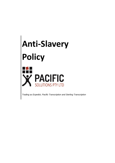

*Trading as Expedict, Pacific Transcription and Sterling Transcription*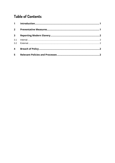# **Table of Contents**

| $2^{\sim}$              |  |
|-------------------------|--|
| 3 <sup>7</sup>          |  |
| 3.1                     |  |
|                         |  |
| $\overline{\mathbf{4}}$ |  |
| 5                       |  |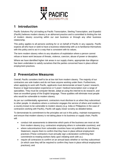

### **1 Introduction**

Pacific Solutions Pty Ltd trading as Pacific Transcription, Sterling Transcription, and Expedict (Pacific) believes modern slavery is an abhorrent practice and is committed to limiting the risk of modern slavery occurring within our own business or through any other business relationship.

This policy applies to all persons working for or on behalf of Pacific in any capacity. Pacific expects all who have or seek to have a business relationship with us to familiarise themselves with this policy and to act in a way that is consistent with its values.

The term modern slavery refers to any situations of exploitation where a person cannot refuse or leave work because of threats, violence, coercion, abuse of power or deception.

Where we have identified higher risk areas in our supply chains, appropriate due diligence has been undertaken to satisfy ourselves that the parties concerned have in place ethical employment practices.

### **2 Preventative Measures**

Overall, Pacific considers itself to be at low risk from modern slavery. The majority of our contractors are sole traders and do not have anyone working under them. Furthermore, when applying to work with Pacific, applicants must demonstrate at least 3 years' research, finance or legal transcription experience or 5 years' medical transcription over a range of specialities. They must be computer literate, adept at using the internet to do research, and have an excellent grasp of the English language. These qualities will eliminate most people who would be vulnerable to modern slavery.

As per our confidentiality agreement, contractors must disclose to us when they subcontract to other people. In situations where a contractor engages the service of others and resides in a country known to be vulnerable to modern slavery (e.g. India or Philippines in the case of contractors working with Pacific), Pacific will apply closer scrutiny as detailed below.

To demonstrate its commitment to the principles set out in this policy, maintain transparency and ensure that modern slavery is not taking place in its business or supply chain, Pacific will:

- conduct risk assessments to determine which parts of the business are most at risk from modern slavery (e.g. contractors employing others in vulnerable countries); and
- where subcontractors from vulnerable countries have not published an Anti-Slavery Statement, require them to confirm that they have in place ethical employment practices (These contractors must annually sign a declaration confirming their commitment to treating workers fairly upon initiating work with us.)
- require all contractors to confirm on an annual basis whether or not they subcontract (in which case they will be required to confirm they have in place ethical employment practices); and